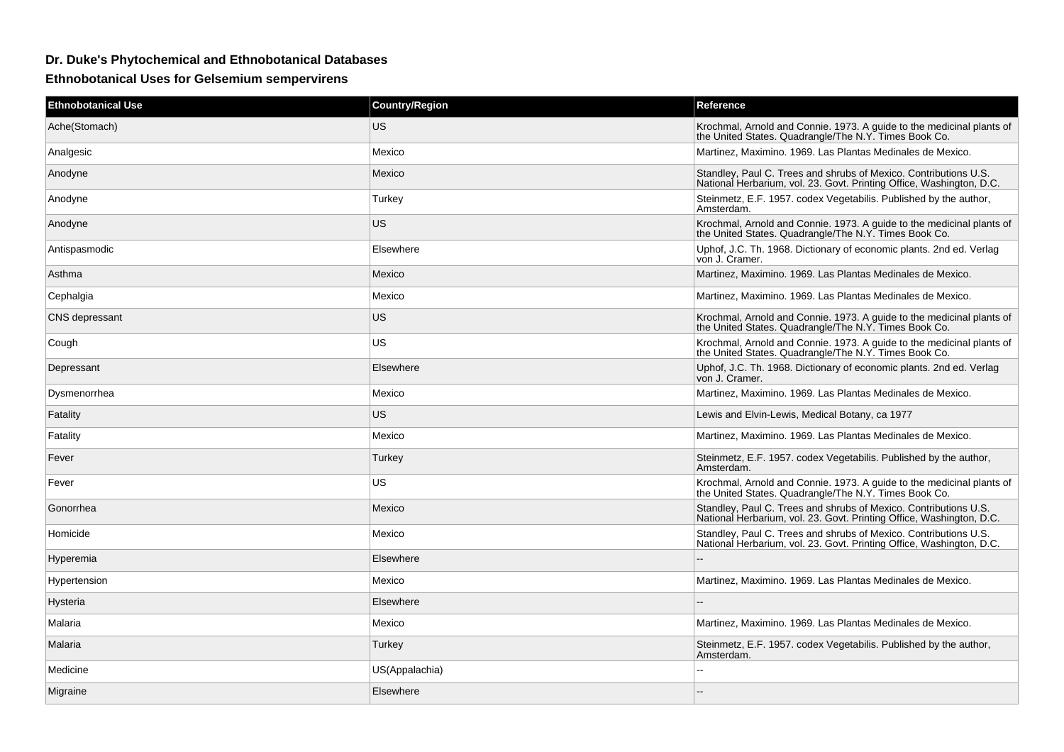## **Dr. Duke's Phytochemical and Ethnobotanical Databases**

**Ethnobotanical Uses for Gelsemium sempervirens**

| <b>Ethnobotanical Use</b> | <b>Country/Region</b> | Reference                                                                                                                                |
|---------------------------|-----------------------|------------------------------------------------------------------------------------------------------------------------------------------|
| Ache(Stomach)             | <b>US</b>             | Krochmal, Arnold and Connie. 1973. A guide to the medicinal plants of<br>the United States. Quadrangle/The N.Y. Times Book Co.           |
| Analgesic                 | Mexico                | Martinez. Maximino. 1969. Las Plantas Medinales de Mexico.                                                                               |
| Anodyne                   | Mexico                | Standley, Paul C. Trees and shrubs of Mexico. Contributions U.S.<br>National Herbarium, vol. 23. Govt. Printing Office, Washington, D.C. |
| Anodyne                   | Turkey                | Steinmetz, E.F. 1957. codex Vegetabilis. Published by the author,<br>Amsterdam.                                                          |
| Anodyne                   | <b>US</b>             | Krochmal, Arnold and Connie. 1973. A guide to the medicinal plants of<br>the United States. Quadrangle/The N.Y. Times Book Co.           |
| Antispasmodic             | Elsewhere             | Uphof, J.C. Th. 1968. Dictionary of economic plants. 2nd ed. Verlag<br>von J. Cramer.                                                    |
| Asthma                    | Mexico                | Martinez, Maximino. 1969. Las Plantas Medinales de Mexico.                                                                               |
| Cephalgia                 | Mexico                | Martinez, Maximino. 1969. Las Plantas Medinales de Mexico.                                                                               |
| CNS depressant            | <b>US</b>             | Krochmal, Arnold and Connie. 1973. A guide to the medicinal plants of<br>the United States. Quadrangle/The N.Y. Times Book Co.           |
| Cough                     | US.                   | Krochmal, Arnold and Connie. 1973. A guide to the medicinal plants of<br>the United States. Quadrangle/The N.Y. Times Book Co.           |
| Depressant                | Elsewhere             | Uphof, J.C. Th. 1968. Dictionary of economic plants. 2nd ed. Verlag<br>von J. Cramer.                                                    |
| Dysmenorrhea              | Mexico                | Martinez, Maximino. 1969. Las Plantas Medinales de Mexico.                                                                               |
| Fatality                  | <b>US</b>             | Lewis and Elvin-Lewis, Medical Botany, ca 1977                                                                                           |
| Fatality                  | Mexico                | Martinez, Maximino. 1969. Las Plantas Medinales de Mexico.                                                                               |
| Fever                     | Turkey                | Steinmetz, E.F. 1957. codex Vegetabilis. Published by the author,<br>Amsterdam.                                                          |
| Fever                     | US.                   | Krochmal, Arnold and Connie. 1973. A guide to the medicinal plants of<br>the United States. Quadrangle/The N.Y. Times Book Co.           |
| Gonorrhea                 | Mexico                | Standley, Paul C. Trees and shrubs of Mexico. Contributions U.S.<br>National Herbarium, vol. 23. Govt. Printing Office, Washington, D.C. |
| Homicide                  | Mexico                | Standley, Paul C. Trees and shrubs of Mexico. Contributions U.S.<br>National Herbarium, vol. 23. Govt. Printing Office, Washington, D.C. |
| Hyperemia                 | Elsewhere             |                                                                                                                                          |
| Hypertension              | Mexico                | Martinez, Maximino. 1969. Las Plantas Medinales de Mexico.                                                                               |
| Hysteria                  | Elsewhere             |                                                                                                                                          |
| Malaria                   | Mexico                | Martinez, Maximino. 1969. Las Plantas Medinales de Mexico.                                                                               |
| Malaria                   | Turkey                | Steinmetz, E.F. 1957. codex Vegetabilis. Published by the author,<br>Amsterdam.                                                          |
| Medicine                  | US(Appalachia)        |                                                                                                                                          |
| Migraine                  | Elsewhere             |                                                                                                                                          |